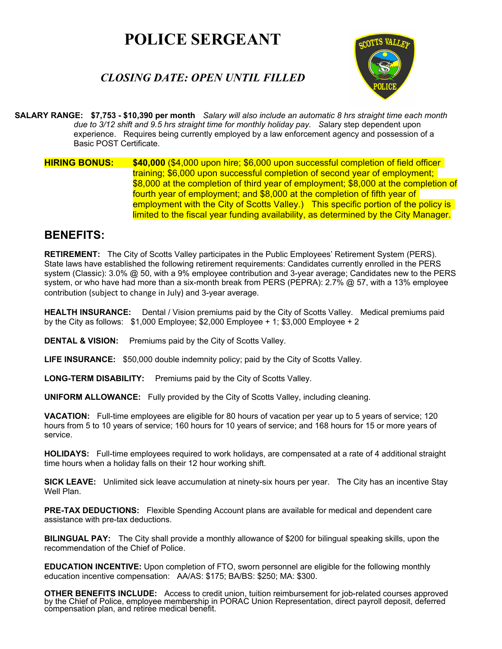# **POLICE SERGEANT**

# *CLOSING DATE: OPEN UNTIL FILLED*



 **SALARY RANGE: \$7,753 - \$10,390 per month** *Salary will also include an automatic 8 hrs straight time each month due to 3/12 shift and 9.5 hrs straight time for monthly holiday pay. S*alary step dependent upon experience. Requires being currently employed by a law enforcement agency and possession of a Basic POST Certificate.

**HIRING BONUS:** \$40,000  $(\$4,000$  upon hire; \$6,000 upon successful completion of field officer training; \$6,000 upon successful completion of second year of employment; \$8,000 at the completion of third year of employment; \$8,000 at the completion of fourth year of employment; and \$8,000 at the completion of fifth year of employment with the City of Scotts Valley.) This specific portion of the policy is limited to the fiscal year funding availability, as determined by the City Manager.

## **BENEFITS:**

**RETIREMENT:** The City of Scotts Valley participates in the Public Employees' Retirement System (PERS). State laws have established the following retirement requirements: Candidates currently enrolled in the PERS system (Classic): 3.0% @ 50, with a 9% employee contribution and 3-year average; Candidates new to the PERS system, or who have had more than a six-month break from PERS (PEPRA): 2.7% @ 57, with a 13% employee contribution (subject to change in July) and 3-year average.

**HEALTH INSURANCE:** Dental / Vision premiums paid by the City of Scotts Valley. Medical premiums paid by the City as follows: \$1,000 Employee; \$2,000 Employee + 1; \$3,000 Employee + 2

**DENTAL & VISION:** Premiums paid by the City of Scotts Valley.

**LIFE INSURANCE:** \$50,000 double indemnity policy; paid by the City of Scotts Valley.

**LONG-TERM DISABILITY:** Premiums paid by the City of Scotts Valley.

**UNIFORM ALLOWANCE:** Fully provided by the City of Scotts Valley, including cleaning.

**VACATION:** Full-time employees are eligible for 80 hours of vacation per year up to 5 years of service; 120 hours from 5 to 10 years of service; 160 hours for 10 years of service; and 168 hours for 15 or more years of service.

**HOLIDAYS:** Full-time employees required to work holidays, are compensated at a rate of 4 additional straight time hours when a holiday falls on their 12 hour working shift.

**SICK LEAVE:** Unlimited sick leave accumulation at ninety-six hours per year. The City has an incentive Stay Well Plan.

**PRE-TAX DEDUCTIONS:** Flexible Spending Account plans are available for medical and dependent care assistance with pre-tax deductions.

**BILINGUAL PAY:** The City shall provide a monthly allowance of \$200 for bilingual speaking skills, upon the recommendation of the Chief of Police.

**EDUCATION INCENTIVE:** Upon completion of FTO, sworn personnel are eligible for the following monthly education incentive compensation: AA/AS: \$175; BA/BS: \$250; MA: \$300.

**OTHER BENEFITS INCLUDE:** Access to credit union, tuition reimbursement for job-related courses approved by the Chief of Police, employee membership in PORAC Union Representation, direct payroll deposit, deferred compensat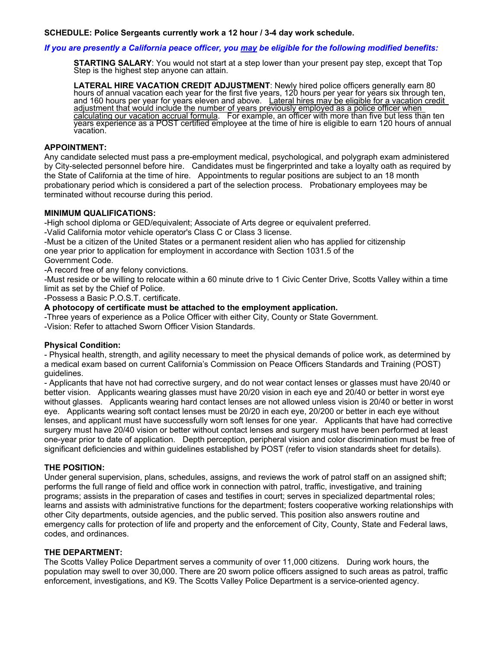### *If you are presently a California peace officer, you may be eligible for the following modified benefits:*

**STARTING SALARY**: You would not start at a step lower than your present pay step, except that Top Step is the highest step anyone can attain.

LATERAL HIRE VACATION CREDIT ADJUSTMENT: Newly hired police officers generally earn 80 hours of annual vacation each year for the first five years, 120 hours per year for years six through ten, and 160 hours per year for y adjustment that would include the number of years previously employed as a police officer when<br>calculating our vacation accrual formula. For example, an officer with more than five but less than ten years experience as a POST certified employee at the time of hire is eligible to earn 120 hours of annual<br>vacation.

#### **APPOINTMENT:**

Any candidate selected must pass a pre-employment medical, psychological, and polygraph exam administered by City-selected personnel before hire. Candidates must be fingerprinted and take a loyalty oath as required by the State of California at the time of hire. Appointments to regular positions are subject to an 18 month probationary period which is considered a part of the selection process. Probationary employees may be terminated without recourse during this period.

#### **MINIMUM QUALIFICATIONS:**

-High school diploma or GED/equivalent; Associate of Arts degree or equivalent preferred.

-Valid California motor vehicle operator's Class C or Class 3 license.

-Must be a citizen of the United States or a permanent resident alien who has applied for citizenship one year prior to application for employment in accordance with Section 1031.5 of the Government Code.

-A record free of any felony convictions.

-Must reside or be willing to relocate within a 60 minute drive to 1 Civic Center Drive, Scotts Valley within a time limit as set by the Chief of Police.

-Possess a Basic P.O.S.T. certificate.

**A photocopy of certificate must be attached to the employment application.**

-Three years of experience as a Police Officer with either City, County or State Government.

-Vision: Refer to attached Sworn Officer Vision Standards.

#### **Physical Condition:**

- Physical health, strength, and agility necessary to meet the physical demands of police work, as determined by a medical exam based on current California's Commission on Peace Officers Standards and Training (POST) guidelines.

- Applicants that have not had corrective surgery, and do not wear contact lenses or glasses must have 20/40 or better vision. Applicants wearing glasses must have 20/20 vision in each eye and 20/40 or better in worst eye without glasses. Applicants wearing hard contact lenses are not allowed unless vision is 20/40 or better in worst eye. Applicants wearing soft contact lenses must be 20/20 in each eye, 20/200 or better in each eye without lenses, and applicant must have successfully worn soft lenses for one year. Applicants that have had corrective surgery must have 20/40 vision or better without contact lenses and surgery must have been performed at least one-year prior to date of application. Depth perception, peripheral vision and color discrimination must be free of significant deficiencies and within guidelines established by POST (refer to vision standards sheet for details).

#### **THE POSITION:**

Under general supervision, plans, schedules, assigns, and reviews the work of patrol staff on an assigned shift; performs the full range of field and office work in connection with patrol, traffic, investigative, and training programs; assists in the preparation of cases and testifies in court; serves in specialized departmental roles; learns and assists with administrative functions for the department; fosters cooperative working relationships with other City departments, outside agencies, and the public served. This position also answers routine and emergency calls for protection of life and property and the enforcement of City, County, State and Federal laws, codes, and ordinances.

#### **THE DEPARTMENT:**

The Scotts Valley Police Department serves a community of over 11,000 citizens. During work hours, the population may swell to over 30,000. There are 20 sworn police officers assigned to such areas as patrol, traffic enforcement, investigations, and K9. The Scotts Valley Police Department is a service-oriented agency.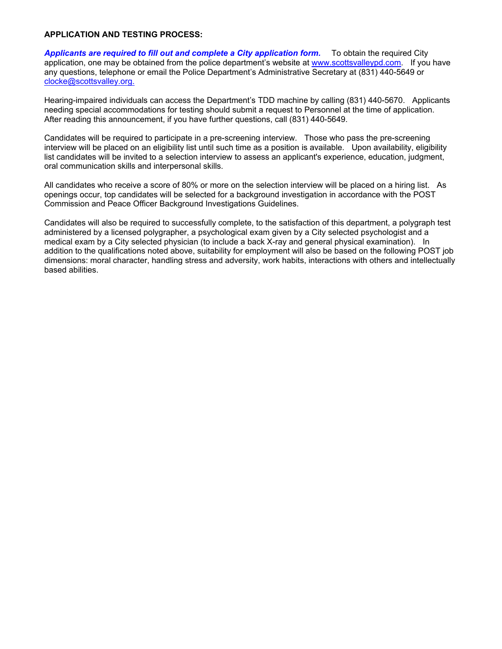#### **APPLICATION AND TESTING PROCESS:**

*Applicants are required to fill out and complete a City application form.* To obtain the required City application, one may be obtained from the police department's website at www.scottsvalleypd.com. If you have any questions, telephone or email the Police Department's Administrative Secretary at (831) 440-5649 or clocke@scottsvalley.org.

Hearing-impaired individuals can access the Department's TDD machine by calling (831) 440-5670. Applicants needing special accommodations for testing should submit a request to Personnel at the time of application. After reading this announcement, if you have further questions, call (831) 440-5649.

Candidates will be required to participate in a pre-screening interview. Those who pass the pre-screening interview will be placed on an eligibility list until such time as a position is available. Upon availability, eligibility list candidates will be invited to a selection interview to assess an applicant's experience, education, judgment, oral communication skills and interpersonal skills.

All candidates who receive a score of 80% or more on the selection interview will be placed on a hiring list. As openings occur, top candidates will be selected for a background investigation in accordance with the POST Commission and Peace Officer Background Investigations Guidelines.

Candidates will also be required to successfully complete, to the satisfaction of this department, a polygraph test administered by a licensed polygrapher, a psychological exam given by a City selected psychologist and a medical exam by a City selected physician (to include a back X-ray and general physical examination). In addition to the qualifications noted above, suitability for employment will also be based on the following POST job dimensions: moral character, handling stress and adversity, work habits, interactions with others and intellectually based abilities.